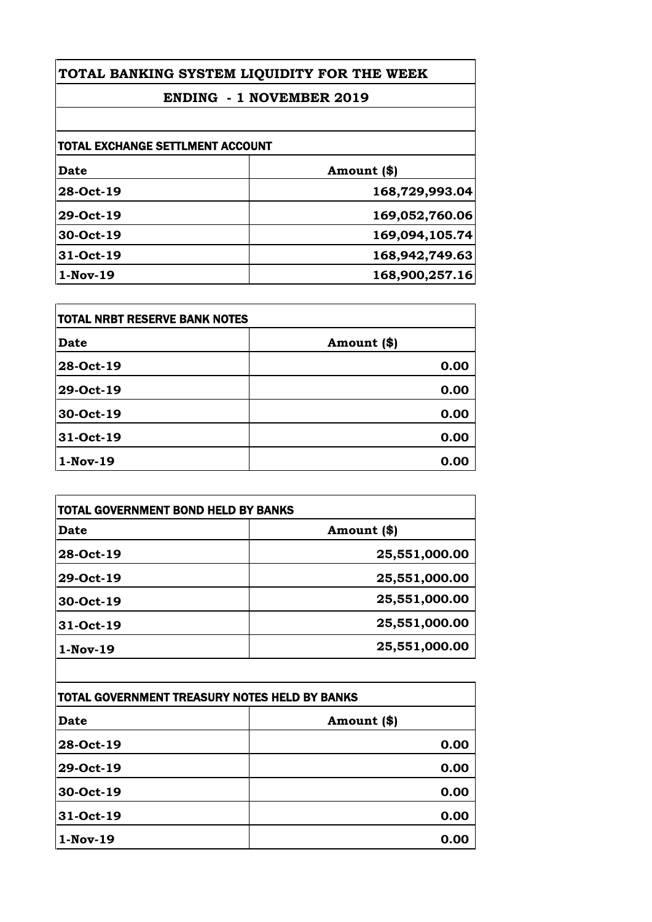## **ENDING - 1 NOVEMBER 2019**

| <b>TOTAL EXCHANGE SETTLMENT ACCOUNT</b> |                |
|-----------------------------------------|----------------|
| <b>Date</b>                             | Amount (\$)    |
| 28-Oct-19                               | 168,729,993.04 |
| 29-Oct-19                               | 169,052,760.06 |
| 30-Oct-19                               | 169,094,105.74 |
| 31-Oct-19                               | 168,942,749.63 |
| $1-Nov-19$                              | 168,900,257.16 |

| <b>TOTAL NRBT RESERVE BANK NOTES</b> |             |
|--------------------------------------|-------------|
| <b>Date</b>                          | Amount (\$) |
| 28-Oct-19                            | 0.00        |
| 29-Oct-19                            | 0.00        |
| 30-Oct-19                            | 0.00        |
| 31-Oct-19                            | 0.00        |
| 1-Nov-19                             | 0.00        |

| Date       | Amount (\$)   |
|------------|---------------|
| 28-Oct-19  | 25,551,000.00 |
| 29-Oct-19  | 25,551,000.00 |
| 30-Oct-19  | 25,551,000.00 |
| 31-Oct-19  | 25,551,000.00 |
| $1-Nov-19$ | 25,551,000.00 |

| TOTAL GOVERNMENT TREASURY NOTES HELD BY BANKS |             |
|-----------------------------------------------|-------------|
| <b>Date</b>                                   | Amount (\$) |
| 28-Oct-19                                     | 0.00        |
| 29-Oct-19                                     | 0.00        |
| 30-Oct-19                                     | 0.00        |
| 31-Oct-19                                     | 0.00        |
| $1-Nov-19$                                    | 0.00        |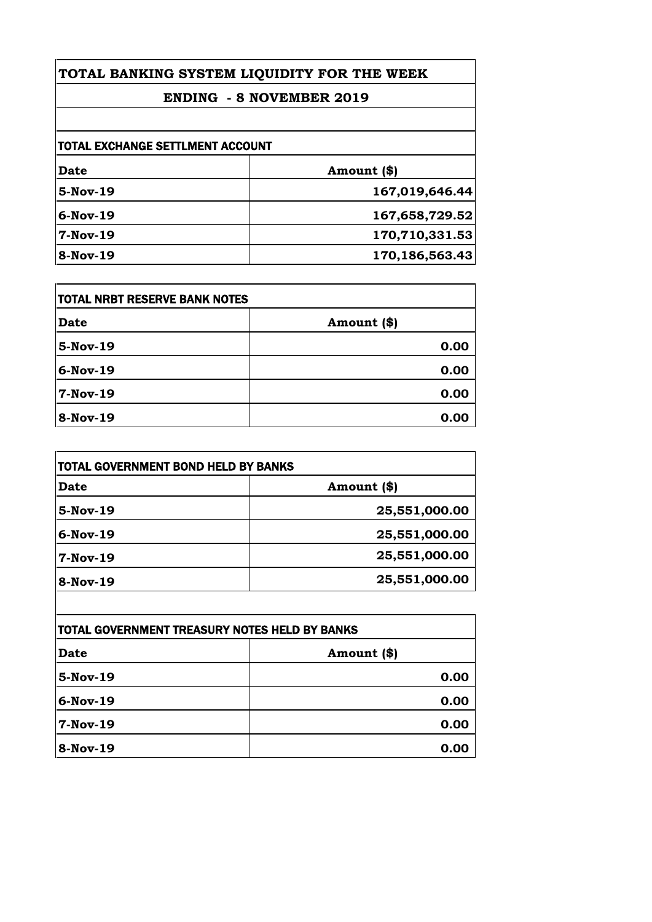## **ENDING - 8 NOVEMBER 2019**

| TOTAL EXCHANGE SETTLMENT ACCOUNT |                |
|----------------------------------|----------------|
| Date                             | Amount (\$)    |
| $5-Nov-19$                       | 167,019,646.44 |
| $6-Nov-19$                       | 167,658,729.52 |
| $7-Nov-19$                       | 170,710,331.53 |
| 8-Nov-19                         | 170,186,563.43 |

| TOTAL NRBT RESERVE BANK NOTES |             |
|-------------------------------|-------------|
| <b>Date</b>                   | Amount (\$) |
| 5-Nov-19                      | 0.00        |
| 6-Nov-19                      | 0.00        |
| 7-Nov-19                      | 0.00        |
| $8-Nov-19$                    | 0.00        |

| Date       | Amount (\$)   |
|------------|---------------|
| $5-Nov-19$ | 25,551,000.00 |
| $6-Nov-19$ | 25,551,000.00 |
| 7-Nov-19   | 25,551,000.00 |
| $8-Nov-19$ | 25,551,000.00 |

| TOTAL GOVERNMENT TREASURY NOTES HELD BY BANKS |             |
|-----------------------------------------------|-------------|
| Date                                          | Amount (\$) |
| 5-Nov-19                                      | 0.00        |
| 6-Nov-19                                      | 0.00        |
| 7-Nov-19                                      | 0.00        |
| <b>8-Nov-19</b>                               | 0.00        |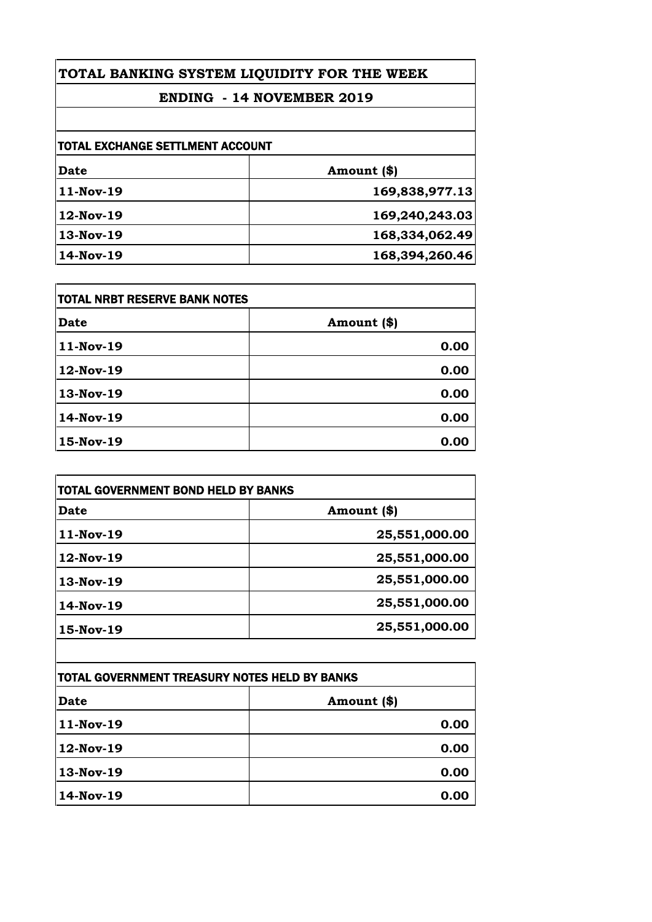## **ENDING - 14 NOVEMBER 2019**

| TOTAL EXCHANGE SETTLMENT ACCOUNT |                |
|----------------------------------|----------------|
| Date                             | Amount (\$)    |
| 11-Nov-19                        | 169,838,977.13 |
| 12-Nov-19                        | 169,240,243.03 |
| 13-Nov-19                        | 168,334,062.49 |
| 14-Nov-19                        | 168,394,260.46 |

| TOTAL NRBT RESERVE BANK NOTES |             |
|-------------------------------|-------------|
| <b>Date</b>                   | Amount (\$) |
| 11-Nov-19                     | 0.00        |
| 12-Nov-19                     | 0.00        |
| 13-Nov-19                     | 0.00        |
| 14-Nov-19                     | 0.00        |
| 15-Nov-19                     | 0.00        |

| <b>TOTAL GOVERNMENT BOND HELD BY BANKS</b> |  |
|--------------------------------------------|--|
| Amount (\$)                                |  |
| 25,551,000.00                              |  |
| 25,551,000.00                              |  |
| 25,551,000.00                              |  |
| 25,551,000.00                              |  |
| 25,551,000.00                              |  |
|                                            |  |

| TOTAL GOVERNMENT TREASURY NOTES HELD BY BANKS |             |
|-----------------------------------------------|-------------|
| <b>Date</b>                                   | Amount (\$) |
| 11-Nov-19                                     | 0.00        |
| 12-Nov-19                                     | 0.00        |
| 13-Nov-19                                     | 0.00        |
| 14-Nov-19                                     | 0.00        |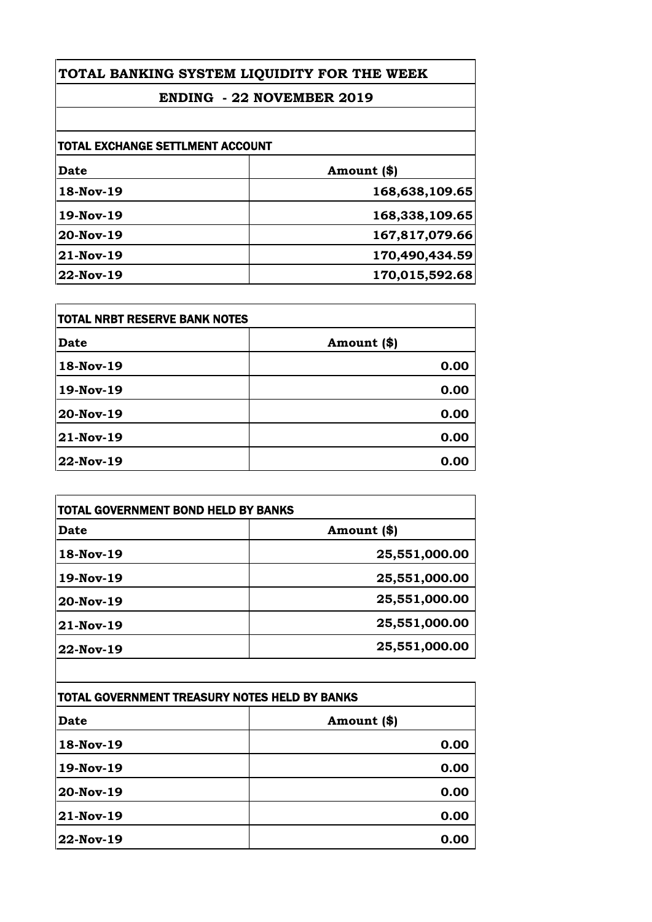## **ENDING - 22 NOVEMBER 2019**

| TOTAL EXCHANGE SETTLMENT ACCOUNT |                |
|----------------------------------|----------------|
| Date                             | Amount (\$)    |
| 18-Nov-19                        | 168,638,109.65 |
| 19-Nov-19                        | 168,338,109.65 |
| 20-Nov-19                        | 167,817,079.66 |
| 21-Nov-19                        | 170,490,434.59 |
| 22-Nov-19                        | 170,015,592.68 |

| <b>TOTAL NRBT RESERVE BANK NOTES</b> |             |
|--------------------------------------|-------------|
| <b>Date</b>                          | Amount (\$) |
| 18-Nov-19                            | 0.00        |
| 19-Nov-19                            | 0.00        |
| 20-Nov-19                            | 0.00        |
| 21-Nov-19                            | 0.00        |
| 22-Nov-19                            | 0.00        |

| <b>TOTAL GOVERNMENT BOND HELD BY BANKS</b> |               |
|--------------------------------------------|---------------|
| <b>Date</b>                                | Amount (\$)   |
| 18-Nov-19                                  | 25,551,000.00 |
| 19-Nov-19                                  | 25,551,000.00 |
| 20-Nov-19                                  | 25,551,000.00 |
| 21-Nov-19                                  | 25,551,000.00 |
| 22-Nov-19                                  | 25,551,000.00 |

| TOTAL GOVERNMENT TREASURY NOTES HELD BY BANKS |             |
|-----------------------------------------------|-------------|
| <b>Date</b>                                   | Amount (\$) |
| 18-Nov-19                                     | 0.00        |
| 19-Nov-19                                     | 0.00        |
| 20-Nov-19                                     | 0.00        |
| 21-Nov-19                                     | 0.00        |
| 22-Nov-19                                     | 0.00        |